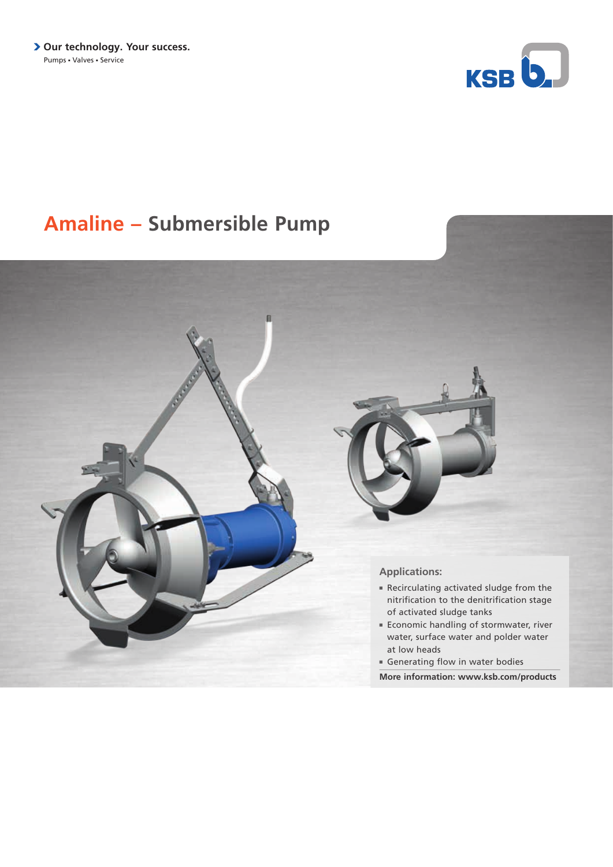**> Our technology. Your success.** Pumps - Valves - Service



## **Amaline – Submersible Pump**